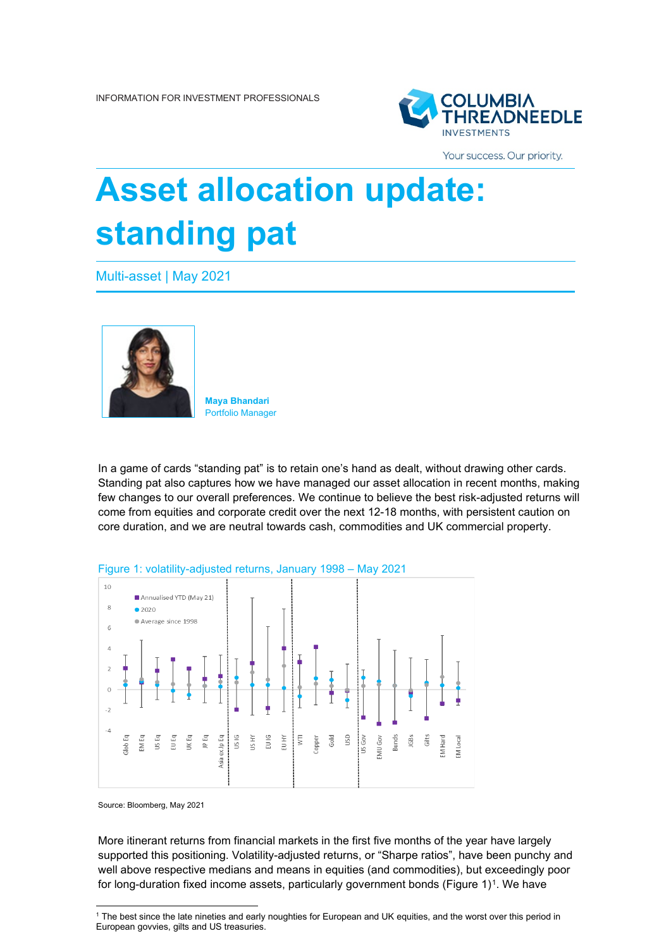

Your success. Our priority.

# **Asset allocation update: standing pat**

Multi-asset | May 2021



**Maya Bhandari** Portfolio Manager

In a game of cards "standing pat" is to retain one's hand as dealt, without drawing other cards. Standing pat also captures how we have managed our asset allocation in recent months, making few changes to our overall preferences. We continue to believe the best risk-adjusted returns will come from equities and corporate credit over the next 12-18 months, with persistent caution on core duration, and we are neutral towards cash, commodities and UK commercial property.



Source: Bloomberg, May 2021

More itinerant returns from financial markets in the first five months of the year have largely supported this positioning. Volatility-adjusted returns, or "Sharpe ratios", have been punchy and well above respective medians and means in equities (and commodities), but exceedingly poor for long-duration fixed income assets, particularly government bonds (Figure [1](#page-0-0))<sup>1</sup>. We have

<span id="page-0-0"></span><sup>1</sup> The best since the late nineties and early noughties for European and UK equities, and the worst over this period in European govvies, gilts and US treasuries.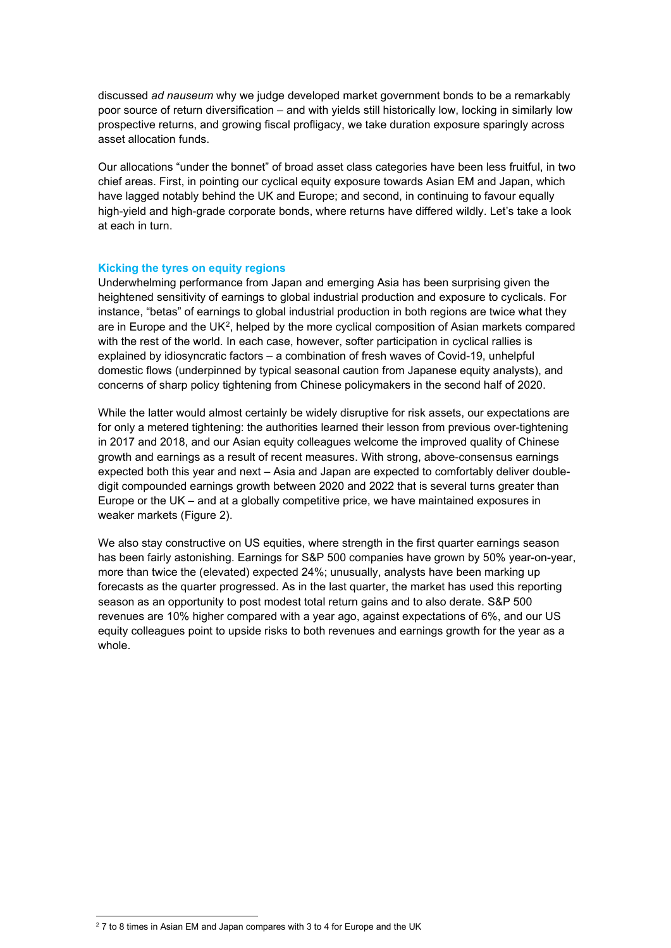discussed *ad nauseum* why we judge developed market government bonds to be a remarkably poor source of return diversification – and with yields still historically low, locking in similarly low prospective returns, and growing fiscal profligacy, we take duration exposure sparingly across asset allocation funds.

Our allocations "under the bonnet" of broad asset class categories have been less fruitful, in two chief areas. First, in pointing our cyclical equity exposure towards Asian EM and Japan, which have lagged notably behind the UK and Europe; and second, in continuing to favour equally high-yield and high-grade corporate bonds, where returns have differed wildly. Let's take a look at each in turn.

## **Kicking the tyres on equity regions**

Underwhelming performance from Japan and emerging Asia has been surprising given the heightened sensitivity of earnings to global industrial production and exposure to cyclicals. For instance, "betas" of earnings to global industrial production in both regions are twice what they are in Europe and the UK<sup>[2](#page-1-0)</sup>, helped by the more cyclical composition of Asian markets compared with the rest of the world. In each case, however, softer participation in cyclical rallies is explained by idiosyncratic factors – a combination of fresh waves of Covid-19, unhelpful domestic flows (underpinned by typical seasonal caution from Japanese equity analysts), and concerns of sharp policy tightening from Chinese policymakers in the second half of 2020.

While the latter would almost certainly be widely disruptive for risk assets, our expectations are for only a metered tightening: the authorities learned their lesson from previous over-tightening in 2017 and 2018, and our Asian equity colleagues welcome the improved quality of Chinese growth and earnings as a result of recent measures. With strong, above-consensus earnings expected both this year and next – Asia and Japan are expected to comfortably deliver doubledigit compounded earnings growth between 2020 and 2022 that is several turns greater than Europe or the UK – and at a globally competitive price, we have maintained exposures in weaker markets (Figure 2).

We also stay constructive on US equities, where strength in the first quarter earnings season has been fairly astonishing. Earnings for S&P 500 companies have grown by 50% year-on-year, more than twice the (elevated) expected 24%; unusually, analysts have been marking up forecasts as the quarter progressed. As in the last quarter, the market has used this reporting season as an opportunity to post modest total return gains and to also derate. S&P 500 revenues are 10% higher compared with a year ago, against expectations of 6%, and our US equity colleagues point to upside risks to both revenues and earnings growth for the year as a whole.

<span id="page-1-0"></span> $27$  to 8 times in Asian EM and Japan compares with 3 to 4 for Europe and the UK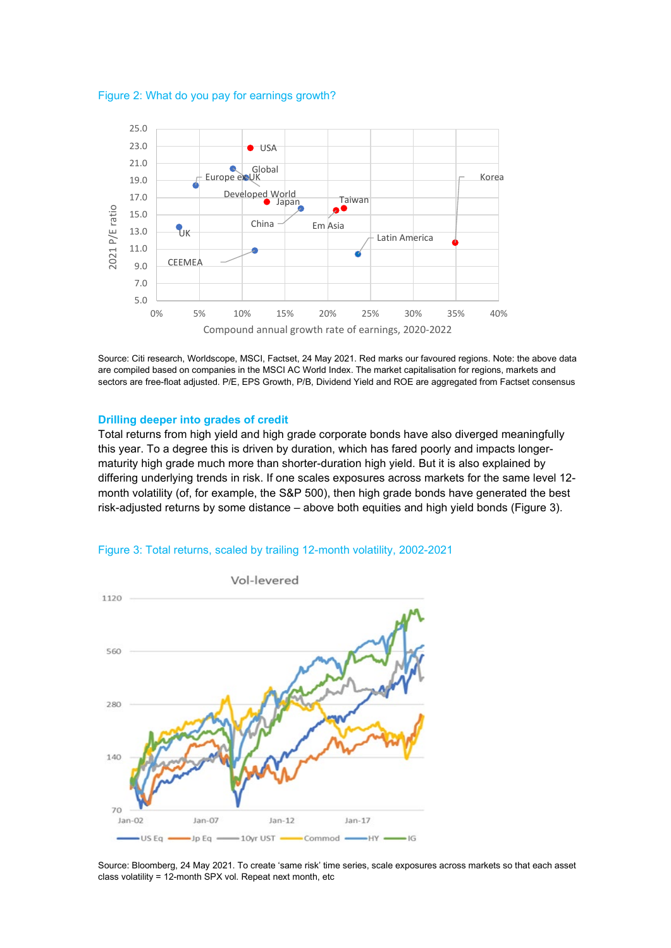



Source: Citi research, Worldscope, MSCI, Factset, 24 May 2021. Red marks our favoured regions. Note: the above data are compiled based on companies in the MSCI AC World Index. The market capitalisation for regions, markets and sectors are free-float adjusted. P/E, EPS Growth, P/B, Dividend Yield and ROE are aggregated from Factset consensus

#### **Drilling deeper into grades of credit**

Total returns from high yield and high grade corporate bonds have also diverged meaningfully this year. To a degree this is driven by duration, which has fared poorly and impacts longermaturity high grade much more than shorter-duration high yield. But it is also explained by differing underlying trends in risk. If one scales exposures across markets for the same level 12 month volatility (of, for example, the S&P 500), then high grade bonds have generated the best risk-adjusted returns by some distance – above both equities and high yield bonds (Figure 3).



### Figure 3: Total returns, scaled by trailing 12-month volatility, 2002-2021

Source: Bloomberg, 24 May 2021. To create 'same risk' time series, scale exposures across markets so that each asset class volatility = 12-month SPX vol. Repeat next month, etc